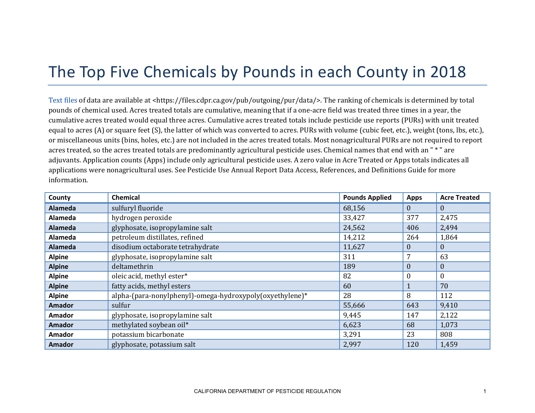## The Top Five Chemicals by Pounds in each County in 2018

[Text files](https://files.cdpr.ca.gov/pub/outgoing/pur/data/) of data are available at <https://files.cdpr.ca.gov/pub/outgoing/pur/data/>. The ranking of chemicals is determined by total pounds of chemical used. Acres treated totals are cumulative, meaning that if a one-acre field was treated three times in a year, the cumulative acres treated would equal three acres. Cumulative acres treated totals include pesticide use reports (PURs) with unit treated equal to acres (A) or square feet (S), the latter of which was converted to acres. PURs with volume (cubic feet, etc.), weight (tons, lbs, etc.), or miscellaneous units (bins, holes, etc.) are not included in the acres treated totals. Most nonagricultural PURs are not required to report acres treated, so the acres treated totals are predominantly agricultural pesticide uses. Chemical names that end with an " \* " are adjuvants. Application counts (Apps) include only agricultural pesticide uses. A zero value in Acre Treated or Apps totals indicates all applications were nonagricultural uses. See Pesticide Use Annual Report Data Access, References, and Definitions Guide for more information.

| County         | <b>Chemical</b>                                          | <b>Pounds Applied</b> | <b>Apps</b>      | <b>Acre Treated</b> |
|----------------|----------------------------------------------------------|-----------------------|------------------|---------------------|
| <b>Alameda</b> | sulfuryl fluoride                                        | 68,156                | $\theta$         | $\theta$            |
| Alameda        | hydrogen peroxide                                        | 33,427                | 377              | 2,475               |
| <b>Alameda</b> | glyphosate, isopropylamine salt                          | 24,562                | 406              | 2,494               |
| Alameda        | petroleum distillates, refined                           | 14,212                | 264              | 1,864               |
| <b>Alameda</b> | disodium octaborate tetrahydrate                         | 11,627                | $\overline{0}$   | $\mathbf{0}$        |
| <b>Alpine</b>  | glyphosate, isopropylamine salt                          | 311                   | 7                | 63                  |
| <b>Alpine</b>  | deltamethrin                                             | 189                   | $\boldsymbol{0}$ | $\mathbf{0}$        |
| <b>Alpine</b>  | oleic acid, methyl ester*                                | 82                    | 0                | $\boldsymbol{0}$    |
| <b>Alpine</b>  | fatty acids, methyl esters                               | 60                    |                  | 70                  |
| <b>Alpine</b>  | alpha-(para-nonylphenyl)-omega-hydroxypoly(oxyethylene)* | 28                    | 8                | 112                 |
| <b>Amador</b>  | sulfur                                                   | 55,666                | 643              | 9,410               |
| <b>Amador</b>  | glyphosate, isopropylamine salt                          | 9,445                 | 147              | 2,122               |
| <b>Amador</b>  | methylated soybean oil*                                  | 6,623                 | 68               | 1,073               |
| Amador         | potassium bicarbonate                                    | 3,291                 | 23               | 808                 |
| <b>Amador</b>  | glyphosate, potassium salt                               | 2,997                 | 120              | 1,459               |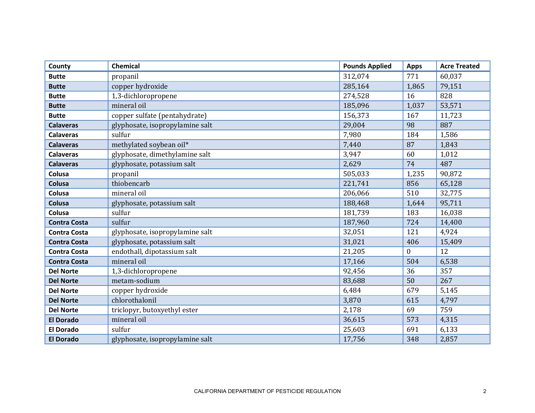| County              | Chemical                        | <b>Pounds Applied</b> | <b>Apps</b>  | <b>Acre Treated</b> |
|---------------------|---------------------------------|-----------------------|--------------|---------------------|
| <b>Butte</b>        | propanil                        | 312,074               | 771          | 60,037              |
| <b>Butte</b>        | copper hydroxide                | 285,164               | 1,865        | 79,151              |
| <b>Butte</b>        | 1,3-dichloropropene             | 274,528               | 16           | 828                 |
| <b>Butte</b>        | mineral oil                     | 185,096               | 1,037        | 53,571              |
| <b>Butte</b>        | copper sulfate (pentahydrate)   | 156,373               | 167          | 11,723              |
| <b>Calaveras</b>    | glyphosate, isopropylamine salt | 29,004                | 98           | 887                 |
| <b>Calaveras</b>    | sulfur                          | 7,980                 | 184          | 1,586               |
| <b>Calaveras</b>    | methylated soybean oil*         | 7,440                 | 87           | 1,843               |
| <b>Calaveras</b>    | glyphosate, dimethylamine salt  | 3,947                 | 60           | 1,012               |
| <b>Calaveras</b>    | glyphosate, potassium salt      | 2,629                 | 74           | 487                 |
| Colusa              | propanil                        | 505,033               | 1,235        | 90,872              |
| Colusa              | thiobencarb                     | 221,741               | 856          | 65,128              |
| Colusa              | mineral oil                     | 206,066               | 510          | 32,775              |
| Colusa              | glyphosate, potassium salt      | 188,468               | 1,644        | 95,711              |
| Colusa              | sulfur                          | 181,739               | 183          | 16,038              |
| <b>Contra Costa</b> | sulfur                          | 187,960               | 724          | 14,400              |
| <b>Contra Costa</b> | glyphosate, isopropylamine salt | 32,051                | 121          | 4,924               |
| <b>Contra Costa</b> | glyphosate, potassium salt      | 31,021                | 406          | 15,409              |
| <b>Contra Costa</b> | endothall, dipotassium salt     | 21,205                | $\mathbf{0}$ | 12                  |
| <b>Contra Costa</b> | mineral oil                     | 17,166                | 504          | 6,538               |
| <b>Del Norte</b>    | 1,3-dichloropropene             | 92,456                | 36           | 357                 |
| <b>Del Norte</b>    | metam-sodium                    | 83,688                | 50           | 267                 |
| <b>Del Norte</b>    | copper hydroxide                | 6,484                 | 679          | 5,145               |
| <b>Del Norte</b>    | chlorothalonil                  | 3,870                 | 615          | 4,797               |
| <b>Del Norte</b>    | triclopyr, butoxyethyl ester    | 2,178                 | 69           | 759                 |
| <b>El Dorado</b>    | mineral oil                     | 36,615                | 573          | 4,315               |
| <b>El Dorado</b>    | sulfur                          | 25,603                | 691          | 6,133               |
| <b>El Dorado</b>    | glyphosate, isopropylamine salt | 17,756                | 348          | 2,857               |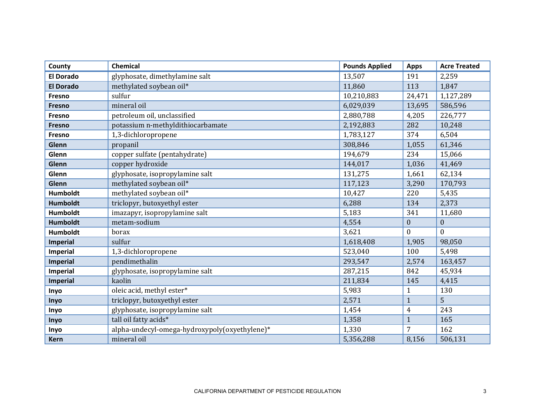| County           | <b>Chemical</b>                               | <b>Pounds Applied</b> | <b>Apps</b>      | <b>Acre Treated</b> |
|------------------|-----------------------------------------------|-----------------------|------------------|---------------------|
| <b>El Dorado</b> | glyphosate, dimethylamine salt                | 13,507                | 191              | 2,259               |
| <b>El Dorado</b> | methylated soybean oil*                       | 11,860                | 113              | 1,847               |
| Fresno           | sulfur                                        | 10,210,883            | 24,471           | 1,127,289           |
| <b>Fresno</b>    | mineral oil                                   | 6,029,039             | 13,695           | 586,596             |
| Fresno           | petroleum oil, unclassified                   | 2,880,788             | 4,205            | 226,777             |
| Fresno           | potassium n-methyldithiocarbamate             | 2,192,883             | 282              | 10,248              |
| Fresno           | 1,3-dichloropropene                           | 1,783,127             | 374              | 6,504               |
| Glenn            | propanil                                      | 308,846               | 1,055            | 61,346              |
| Glenn            | copper sulfate (pentahydrate)                 | 194,679               | 234              | 15,066              |
| Glenn            | copper hydroxide                              | 144,017               | 1,036            | 41,469              |
| Glenn            | glyphosate, isopropylamine salt               | 131,275               | 1,661            | 62,134              |
| Glenn            | methylated soybean oil*                       | 117,123               | 3,290            | 170,793             |
| <b>Humboldt</b>  | methylated soybean oil*                       | 10,427                | 220              | 5,435               |
| <b>Humboldt</b>  | triclopyr, butoxyethyl ester                  | 6,288                 | 134              | 2,373               |
| <b>Humboldt</b>  | imazapyr, isopropylamine salt                 | 5,183                 | 341              | 11,680              |
| <b>Humboldt</b>  | metam-sodium                                  | 4,554                 | $\boldsymbol{0}$ | $\overline{0}$      |
| <b>Humboldt</b>  | borax                                         | 3,621                 | $\overline{0}$   | $\theta$            |
| <b>Imperial</b>  | sulfur                                        | 1,618,408             | 1,905            | 98,050              |
| <b>Imperial</b>  | 1,3-dichloropropene                           | 523,040               | 100              | 5,498               |
| Imperial         | pendimethalin                                 | 293,547               | 2,574            | 163,457             |
| Imperial         | glyphosate, isopropylamine salt               | 287,215               | 842              | 45,934              |
| <b>Imperial</b>  | kaolin                                        | 211,834               | 145              | 4,415               |
| Inyo             | oleic acid, methyl ester*                     | 5,983                 | $\mathbf{1}$     | 130                 |
| Inyo             | triclopyr, butoxyethyl ester                  | 2,571                 | $\mathbf{1}$     | 5                   |
| Inyo             | glyphosate, isopropylamine salt               | 1,454                 | $\overline{4}$   | 243                 |
| Inyo             | tall oil fatty acids*                         | 1,358                 | $\mathbf{1}$     | 165                 |
| Inyo             | alpha-undecyl-omega-hydroxypoly(oxyethylene)* | 1,330                 | 7                | 162                 |
| <b>Kern</b>      | mineral oil                                   | 5,356,288             | 8,156            | 506,131             |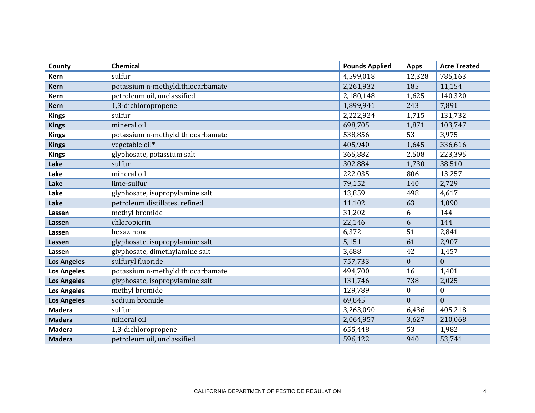| County             | Chemical                          | <b>Pounds Applied</b> | <b>Apps</b>      | <b>Acre Treated</b> |
|--------------------|-----------------------------------|-----------------------|------------------|---------------------|
| <b>Kern</b>        | sulfur                            | 4,599,018             | 12,328           | 785,163             |
| <b>Kern</b>        | potassium n-methyldithiocarbamate | 2,261,932             | 185              | 11,154              |
| <b>Kern</b>        | petroleum oil, unclassified       | 2,180,148             | 1,625            | 140,320             |
| <b>Kern</b>        | 1,3-dichloropropene               | 1,899,941             | 243              | 7,891               |
| <b>Kings</b>       | sulfur                            | 2,222,924             | 1,715            | 131,732             |
| <b>Kings</b>       | mineral oil                       | 698,705               | 1,871            | 103,747             |
| <b>Kings</b>       | potassium n-methyldithiocarbamate | 538,856               | 53               | 3,975               |
| <b>Kings</b>       | vegetable oil*                    | 405,940               | 1,645            | 336,616             |
| <b>Kings</b>       | glyphosate, potassium salt        | 365,882               | 2,508            | 223,395             |
| Lake               | sulfur                            | 302,884               | 1,730            | 38,510              |
| Lake               | mineral oil                       | 222,035               | 806              | 13,257              |
| Lake               | lime-sulfur                       | 79,152                | 140              | 2,729               |
| Lake               | glyphosate, isopropylamine salt   | 13,859                | 498              | 4,617               |
| Lake               | petroleum distillates, refined    | 11,102                | 63               | 1,090               |
| Lassen             | methyl bromide                    | 31,202                | 6                | 144                 |
| Lassen             | chloropicrin                      | 22,146                | 6                | 144                 |
| Lassen             | hexazinone                        | 6,372                 | 51               | 2,841               |
| Lassen             | glyphosate, isopropylamine salt   | 5,151                 | 61               | 2,907               |
| Lassen             | glyphosate, dimethylamine salt    | 3,688                 | 42               | 1,457               |
| <b>Los Angeles</b> | sulfuryl fluoride                 | 757,733               | $\boldsymbol{0}$ | $\overline{0}$      |
| <b>Los Angeles</b> | potassium n-methyldithiocarbamate | 494,700               | 16               | 1,401               |
| <b>Los Angeles</b> | glyphosate, isopropylamine salt   | 131,746               | 738              | 2,025               |
| <b>Los Angeles</b> | methyl bromide                    | 129,789               | $\boldsymbol{0}$ | $\boldsymbol{0}$    |
| <b>Los Angeles</b> | sodium bromide                    | 69,845                | $\boldsymbol{0}$ | $\overline{0}$      |
| <b>Madera</b>      | sulfur                            | 3,263,090             | 6,436            | 405,218             |
| <b>Madera</b>      | mineral oil                       | 2,064,957             | 3,627            | 210,068             |
| <b>Madera</b>      | 1,3-dichloropropene               | 655,448               | 53               | 1,982               |
| <b>Madera</b>      | petroleum oil, unclassified       | 596,122               | 940              | 53,741              |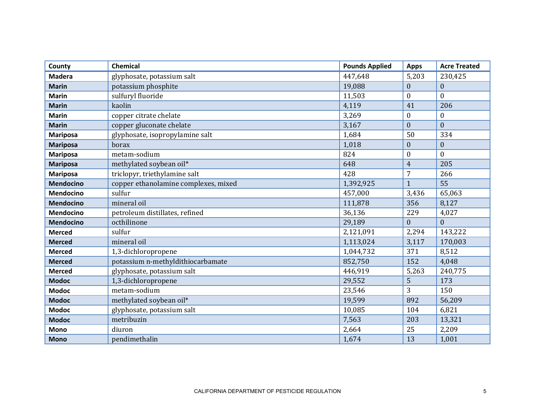| County           | <b>Chemical</b>                      | <b>Pounds Applied</b> | <b>Apps</b>      | <b>Acre Treated</b> |
|------------------|--------------------------------------|-----------------------|------------------|---------------------|
| <b>Madera</b>    | glyphosate, potassium salt           | 447,648               | 5,203            | 230,425             |
| <b>Marin</b>     | potassium phosphite                  | 19,088                | $\boldsymbol{0}$ | $\mathbf{0}$        |
| <b>Marin</b>     | sulfuryl fluoride                    | 11,503                | $\theta$         | $\theta$            |
| <b>Marin</b>     | kaolin                               | 4,119                 | 41               | 206                 |
| <b>Marin</b>     | copper citrate chelate               | 3,269                 | $\boldsymbol{0}$ | $\mathbf{0}$        |
| <b>Marin</b>     | copper gluconate chelate             | 3,167                 | $\boldsymbol{0}$ | $\boldsymbol{0}$    |
| <b>Mariposa</b>  | glyphosate, isopropylamine salt      | 1,684                 | 50               | 334                 |
| <b>Mariposa</b>  | borax                                | 1,018                 | $\boldsymbol{0}$ | $\boldsymbol{0}$    |
| <b>Mariposa</b>  | metam-sodium                         | 824                   | $\boldsymbol{0}$ | $\theta$            |
| <b>Mariposa</b>  | methylated soybean oil*              | 648                   | $\overline{4}$   | 205                 |
| <b>Mariposa</b>  | triclopyr, triethylamine salt        | 428                   | 7                | 266                 |
| <b>Mendocino</b> | copper ethanolamine complexes, mixed | 1,392,925             | $\mathbf{1}$     | 55                  |
| <b>Mendocino</b> | sulfur                               | 457,000               | 3,436            | 65,063              |
| <b>Mendocino</b> | mineral oil                          | 111,878               | 356              | 8,127               |
| <b>Mendocino</b> | petroleum distillates, refined       | 36,136                | 229              | 4,027               |
| <b>Mendocino</b> | octhilinone                          | 29,189                | $\Omega$         | $\theta$            |
| <b>Merced</b>    | sulfur                               | 2,121,091             | 2,294            | 143,222             |
| <b>Merced</b>    | mineral oil                          | 1,113,024             | 3,117            | 170,003             |
| <b>Merced</b>    | 1,3-dichloropropene                  | 1,044,732             | 371              | 8,512               |
| <b>Merced</b>    | potassium n-methyldithiocarbamate    | 852,750               | 152              | 4,048               |
| <b>Merced</b>    | glyphosate, potassium salt           | 446,919               | 5,263            | 240,775             |
| <b>Modoc</b>     | 1,3-dichloropropene                  | 29,552                | 5                | 173                 |
| <b>Modoc</b>     | metam-sodium                         | 23,546                | 3                | 150                 |
| <b>Modoc</b>     | methylated soybean oil*              | 19,599                | 892              | 56,209              |
| <b>Modoc</b>     | glyphosate, potassium salt           | 10,085                | 104              | 6,821               |
| <b>Modoc</b>     | metribuzin                           | 7,563                 | 203              | 13,321              |
| Mono             | diuron                               | 2,664                 | 25               | 2,209               |
| <b>Mono</b>      | pendimethalin                        | 1,674                 | 13               | 1,001               |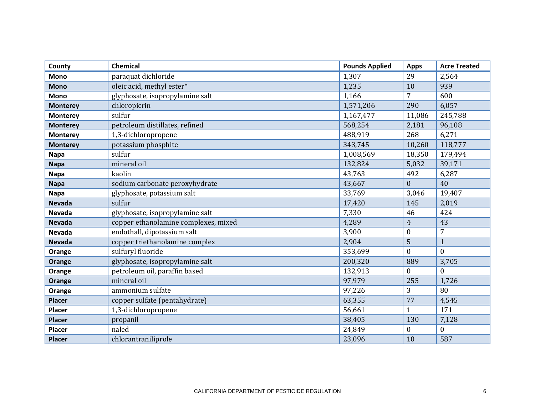| County          | Chemical                             | <b>Pounds Applied</b> | <b>Apps</b>      | <b>Acre Treated</b> |
|-----------------|--------------------------------------|-----------------------|------------------|---------------------|
| Mono            | paraquat dichloride                  | 1,307                 | 29               | 2,564               |
| <b>Mono</b>     | oleic acid, methyl ester*            | 1,235                 | 10               | 939                 |
| <b>Mono</b>     | glyphosate, isopropylamine salt      | 1,166                 | 7                | 600                 |
| <b>Monterey</b> | chloropicrin                         | 1,571,206             | 290              | 6,057               |
| <b>Monterey</b> | sulfur                               | 1,167,477             | 11,086           | 245,788             |
| <b>Monterey</b> | petroleum distillates, refined       | 568,254               | 2,181            | 96,108              |
| <b>Monterey</b> | 1,3-dichloropropene                  | 488,919               | 268              | 6,271               |
| <b>Monterey</b> | potassium phosphite                  | 343,745               | 10,260           | 118,777             |
| <b>Napa</b>     | sulfur                               | 1,008,569             | 18,350           | 179,494             |
| <b>Napa</b>     | mineral oil                          | 132,824               | 5,032            | 39,171              |
| <b>Napa</b>     | kaolin                               | 43,763                | 492              | 6,287               |
| <b>Napa</b>     | sodium carbonate peroxyhydrate       | 43,667                | $\mathbf{0}$     | 40                  |
| <b>Napa</b>     | glyphosate, potassium salt           | 33,769                | 3,046            | 19,407              |
| <b>Nevada</b>   | sulfur                               | 17,420                | 145              | 2,019               |
| <b>Nevada</b>   | glyphosate, isopropylamine salt      | 7,330                 | 46               | 424                 |
| <b>Nevada</b>   | copper ethanolamine complexes, mixed | 4,289                 | $\overline{4}$   | 43                  |
| <b>Nevada</b>   | endothall, dipotassium salt          | 3,900                 | $\boldsymbol{0}$ | 7                   |
| <b>Nevada</b>   | copper triethanolamine complex       | 2,904                 | 5                | $\mathbf{1}$        |
| Orange          | sulfuryl fluoride                    | 353,699               | $\mathbf{0}$     | $\theta$            |
| Orange          | glyphosate, isopropylamine salt      | 200,320               | 889              | 3,705               |
| Orange          | petroleum oil, paraffin based        | 132,913               | $\overline{0}$   | $\Omega$            |
| <b>Orange</b>   | mineral oil                          | 97,979                | 255              | 1,726               |
| Orange          | ammonium sulfate                     | 97,226                | 3                | 80                  |
| <b>Placer</b>   | copper sulfate (pentahydrate)        | 63,355                | 77               | 4,545               |
| Placer          | 1,3-dichloropropene                  | 56,661                | $\mathbf{1}$     | 171                 |
| <b>Placer</b>   | propanil                             | 38,405                | 130              | 7,128               |
| <b>Placer</b>   | naled                                | 24,849                | $\boldsymbol{0}$ | $\overline{0}$      |
| <b>Placer</b>   | chlorantraniliprole                  | 23,096                | 10               | 587                 |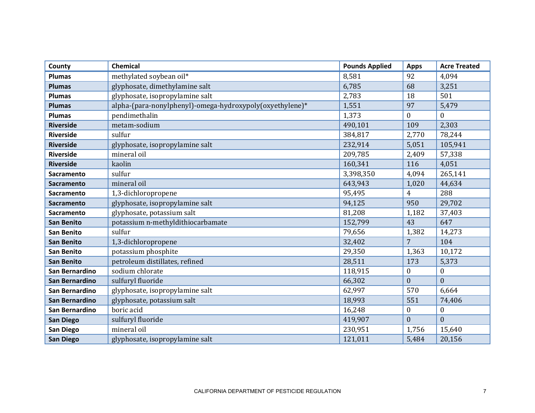| County            | Chemical                                                 | <b>Pounds Applied</b> | <b>Apps</b>      | <b>Acre Treated</b> |
|-------------------|----------------------------------------------------------|-----------------------|------------------|---------------------|
| <b>Plumas</b>     | methylated soybean oil*                                  | 8,581                 | 92               | 4,094               |
| <b>Plumas</b>     | glyphosate, dimethylamine salt                           | 6,785                 | 68               | 3,251               |
| <b>Plumas</b>     | glyphosate, isopropylamine salt                          | 2,783                 | 18               | 501                 |
| <b>Plumas</b>     | alpha-(para-nonylphenyl)-omega-hydroxypoly(oxyethylene)* | 1,551                 | 97               | 5,479               |
| <b>Plumas</b>     | pendimethalin                                            | 1,373                 | $\mathbf{0}$     | $\boldsymbol{0}$    |
| <b>Riverside</b>  | metam-sodium                                             | 490,101               | 109              | 2,303               |
| <b>Riverside</b>  | sulfur                                                   | 384,817               | 2,770            | 78,244              |
| <b>Riverside</b>  | glyphosate, isopropylamine salt                          | 232,914               | 5,051            | 105,941             |
| <b>Riverside</b>  | mineral oil                                              | 209,785               | 2,409            | 57,338              |
| <b>Riverside</b>  | kaolin                                                   | 160,341               | 116              | 4,051               |
| Sacramento        | sulfur                                                   | 3,398,350             | 4,094            | 265,141             |
| <b>Sacramento</b> | mineral oil                                              | 643,943               | 1,020            | 44,634              |
| Sacramento        | 1,3-dichloropropene                                      | 95,495                | $\overline{4}$   | 288                 |
| <b>Sacramento</b> | glyphosate, isopropylamine salt                          | 94,125                | 950              | 29,702              |
| Sacramento        | glyphosate, potassium salt                               | 81,208                | 1,182            | 37,403              |
| <b>San Benito</b> | potassium n-methyldithiocarbamate                        | 152,799               | 43               | 647                 |
| <b>San Benito</b> | sulfur                                                   | 79,656                | 1,382            | 14,273              |
| <b>San Benito</b> | 1,3-dichloropropene                                      | 32,402                | $\overline{7}$   | 104                 |
| <b>San Benito</b> | potassium phosphite                                      | 29,350                | 1,363            | 10,172              |
| <b>San Benito</b> | petroleum distillates, refined                           | 28,511                | 173              | 5,373               |
| San Bernardino    | sodium chlorate                                          | 118,915               | $\bf{0}$         | $\boldsymbol{0}$    |
| San Bernardino    | sulfuryl fluoride                                        | 66,302                | $\mathbf{0}$     | $\mathbf{0}$        |
| San Bernardino    | glyphosate, isopropylamine salt                          | 62,997                | 570              | 6,664               |
| San Bernardino    | glyphosate, potassium salt                               | 18,993                | 551              | 74,406              |
| San Bernardino    | boric acid                                               | 16,248                | $\boldsymbol{0}$ | $\boldsymbol{0}$    |
| <b>San Diego</b>  | sulfuryl fluoride                                        | 419,907               | $\overline{0}$   | $\overline{0}$      |
| San Diego         | mineral oil                                              | 230,951               | 1,756            | 15,640              |
| <b>San Diego</b>  | glyphosate, isopropylamine salt                          | 121,011               | 5,484            | 20,156              |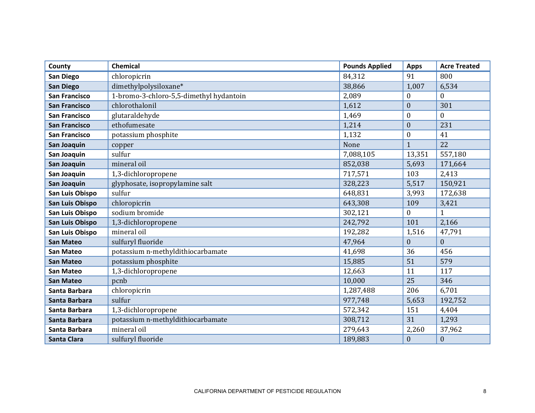| County               | Chemical                                | <b>Pounds Applied</b> | <b>Apps</b>      | <b>Acre Treated</b> |
|----------------------|-----------------------------------------|-----------------------|------------------|---------------------|
| San Diego            | chloropicrin                            | 84,312                | 91               | 800                 |
| <b>San Diego</b>     | dimethylpolysiloxane*                   | 38,866                | 1,007            | 6,534               |
| <b>San Francisco</b> | 1-bromo-3-chloro-5,5-dimethyl hydantoin | 2,089                 | $\boldsymbol{0}$ | $\Omega$            |
| <b>San Francisco</b> | chlorothalonil                          | 1,612                 | $\boldsymbol{0}$ | 301                 |
| <b>San Francisco</b> | glutaraldehyde                          | 1,469                 | $\boldsymbol{0}$ | $\overline{0}$      |
| <b>San Francisco</b> | ethofumesate                            | 1,214                 | $\boldsymbol{0}$ | 231                 |
| <b>San Francisco</b> | potassium phosphite                     | 1,132                 | $\boldsymbol{0}$ | 41                  |
| San Joaquin          | copper                                  | None                  | $\mathbf{1}$     | 22                  |
| San Joaquin          | sulfur                                  | 7,088,105             | 13,351           | 557,180             |
| San Joaquin          | mineral oil                             | 852,038               | 5,693            | 171,664             |
| San Joaquin          | 1,3-dichloropropene                     | 717,571               | 103              | 2,413               |
| San Joaquin          | glyphosate, isopropylamine salt         | 328,223               | 5,517            | 150,921             |
| San Luis Obispo      | sulfur                                  | 648,831               | 3,993            | 172,638             |
| San Luis Obispo      | chloropicrin                            | 643,308               | 109              | 3,421               |
| San Luis Obispo      | sodium bromide                          | 302,121               | $\boldsymbol{0}$ | 1                   |
| San Luis Obispo      | 1,3-dichloropropene                     | 242,792               | 101              | 2,166               |
| San Luis Obispo      | mineral oil                             | 192,282               | 1,516            | 47,791              |
| <b>San Mateo</b>     | sulfuryl fluoride                       | 47,964                | $\mathbf{0}$     | $\mathbf{0}$        |
| <b>San Mateo</b>     | potassium n-methyldithiocarbamate       | 41,698                | 36               | 456                 |
| <b>San Mateo</b>     | potassium phosphite                     | 15,885                | 51               | 579                 |
| <b>San Mateo</b>     | 1,3-dichloropropene                     | 12,663                | 11               | 117                 |
| <b>San Mateo</b>     | pcnb                                    | 10,000                | 25               | 346                 |
| Santa Barbara        | chloropicrin                            | 1,287,488             | 206              | 6,701               |
| Santa Barbara        | sulfur                                  | 977,748               | 5,653            | 192,752             |
| Santa Barbara        | 1,3-dichloropropene                     | 572,342               | 151              | 4,404               |
| Santa Barbara        | potassium n-methyldithiocarbamate       | 308,712               | 31               | 1,293               |
| Santa Barbara        | mineral oil                             | 279,643               | 2,260            | 37,962              |
| Santa Clara          | sulfuryl fluoride                       | 189,883               | $\boldsymbol{0}$ | $\boldsymbol{0}$    |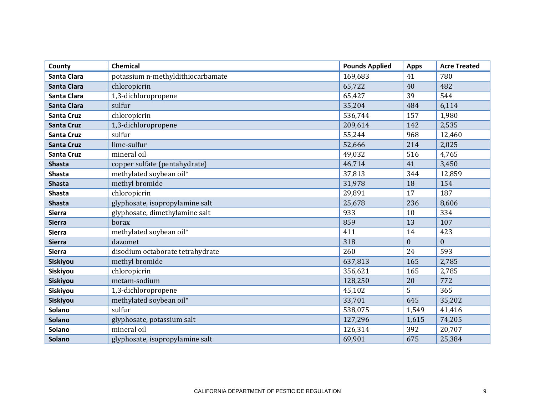| County             | <b>Chemical</b>                   | <b>Pounds Applied</b> | <b>Apps</b>    | <b>Acre Treated</b> |
|--------------------|-----------------------------------|-----------------------|----------------|---------------------|
| <b>Santa Clara</b> | potassium n-methyldithiocarbamate | 169,683               | 41             | 780                 |
| <b>Santa Clara</b> | chloropicrin                      | 65,722                | 40             | 482                 |
| <b>Santa Clara</b> | 1,3-dichloropropene               | 65,427                | 39             | 544                 |
| <b>Santa Clara</b> | sulfur                            | 35,204                | 484            | 6,114               |
| <b>Santa Cruz</b>  | chloropicrin                      | 536,744               | 157            | 1,980               |
| <b>Santa Cruz</b>  | 1,3-dichloropropene               | 209,614               | 142            | 2,535               |
| <b>Santa Cruz</b>  | sulfur                            | 55,244                | 968            | 12,460              |
| <b>Santa Cruz</b>  | lime-sulfur                       | 52,666                | 214            | 2,025               |
| <b>Santa Cruz</b>  | mineral oil                       | 49,032                | 516            | 4,765               |
| <b>Shasta</b>      | copper sulfate (pentahydrate)     | 46,714                | 41             | 3,450               |
| <b>Shasta</b>      | methylated soybean oil*           | 37,813                | 344            | 12,859              |
| <b>Shasta</b>      | methyl bromide                    | 31,978                | 18             | 154                 |
| <b>Shasta</b>      | chloropicrin                      | 29,891                | 17             | 187                 |
| <b>Shasta</b>      | glyphosate, isopropylamine salt   | 25,678                | 236            | 8,606               |
| <b>Sierra</b>      | glyphosate, dimethylamine salt    | 933                   | 10             | 334                 |
| <b>Sierra</b>      | borax                             | 859                   | 13             | 107                 |
| <b>Sierra</b>      | methylated soybean oil*           | 411                   | 14             | 423                 |
| <b>Sierra</b>      | dazomet                           | 318                   | $\overline{0}$ | $\overline{0}$      |
| <b>Sierra</b>      | disodium octaborate tetrahydrate  | 260                   | 24             | 593                 |
| Siskiyou           | methyl bromide                    | 637,813               | 165            | 2,785               |
| Siskiyou           | chloropicrin                      | 356,621               | 165            | 2,785               |
| Siskiyou           | metam-sodium                      | 128,250               | 20             | 772                 |
| Siskiyou           | 1,3-dichloropropene               | 45,102                | 5              | 365                 |
| Siskiyou           | methylated soybean oil*           | 33,701                | 645            | 35,202              |
| <b>Solano</b>      | sulfur                            | 538,075               | 1,549          | 41,416              |
| <b>Solano</b>      | glyphosate, potassium salt        | 127,296               | 1,615          | 74,205              |
| Solano             | mineral oil                       | 126,314               | 392            | 20,707              |
| <b>Solano</b>      | glyphosate, isopropylamine salt   | 69,901                | 675            | 25,384              |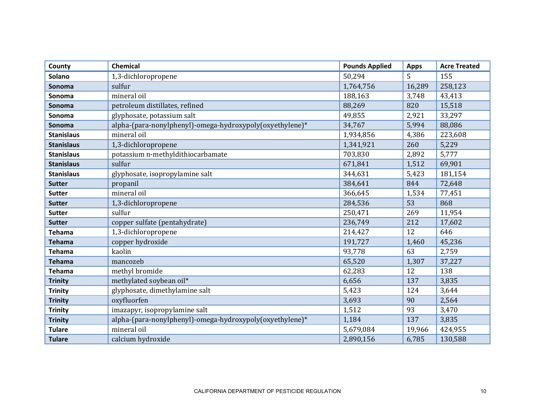| County            | <b>Chemical</b>                                          | <b>Pounds Applied</b> | <b>Apps</b> | <b>Acre Treated</b> |
|-------------------|----------------------------------------------------------|-----------------------|-------------|---------------------|
| <b>Solano</b>     | 1,3-dichloropropene                                      | 50,294                | 5           | 155                 |
| Sonoma            | sulfur                                                   | 1,764,756             | 16,289      | 258,123             |
| Sonoma            | mineral oil                                              | 188,163               | 3,748       | 43,413              |
| Sonoma            | petroleum distillates, refined                           | 88,269                | 820         | 15,518              |
| Sonoma            | glyphosate, potassium salt                               | 49,855                | 2,921       | 33,297              |
| Sonoma            | alpha-(para-nonylphenyl)-omega-hydroxypoly(oxyethylene)* | 34,767                | 5,994       | 88,086              |
| <b>Stanislaus</b> | mineral oil                                              | 1,934,856             | 4,386       | 223,608             |
| <b>Stanislaus</b> | 1,3-dichloropropene                                      | 1,341,921             | 260         | 5,229               |
| <b>Stanislaus</b> | potassium n-methyldithiocarbamate                        | 703,830               | 2,892       | 5,777               |
| <b>Stanislaus</b> | sulfur                                                   | 671,841               | 1,512       | 69,901              |
| <b>Stanislaus</b> | glyphosate, isopropylamine salt                          | 344,631               | 5,423       | 181,154             |
| <b>Sutter</b>     | propanil                                                 | 384,641               | 844         | 72,648              |
| <b>Sutter</b>     | mineral oil                                              | 366,645               | 1,534       | 77,451              |
| <b>Sutter</b>     | 1,3-dichloropropene                                      | 284,536               | 53          | 868                 |
| <b>Sutter</b>     | sulfur                                                   | 250,471               | 269         | 11,954              |
| <b>Sutter</b>     | copper sulfate (pentahydrate)                            | 236,749               | 212         | 17,602              |
| <b>Tehama</b>     | 1,3-dichloropropene                                      | 214,427               | 12          | 646                 |
| <b>Tehama</b>     | copper hydroxide                                         | 191,727               | 1,460       | 45,236              |
| <b>Tehama</b>     | kaolin                                                   | 93,778                | 63          | 2,759               |
| <b>Tehama</b>     | mancozeb                                                 | 65,520                | 1,307       | 37,227              |
| <b>Tehama</b>     | methyl bromide                                           | 62,283                | 12          | 138                 |
| <b>Trinity</b>    | methylated soybean oil*                                  | 6,656                 | 137         | 3,835               |
| <b>Trinity</b>    | glyphosate, dimethylamine salt                           | 5,423                 | 124         | 3,644               |
| <b>Trinity</b>    | oxyfluorfen                                              | 3,693                 | 90          | 2,564               |
| <b>Trinity</b>    | imazapyr, isopropylamine salt                            | 1,512                 | 93          | 3,470               |
| <b>Trinity</b>    | alpha-(para-nonylphenyl)-omega-hydroxypoly(oxyethylene)* | 1,184                 | 137         | 3,835               |
| <b>Tulare</b>     | mineral oil                                              | 5,679,084             | 19,966      | 424,955             |
| <b>Tulare</b>     | calcium hydroxide                                        | 2,890,156             | 6,785       | 130,588             |